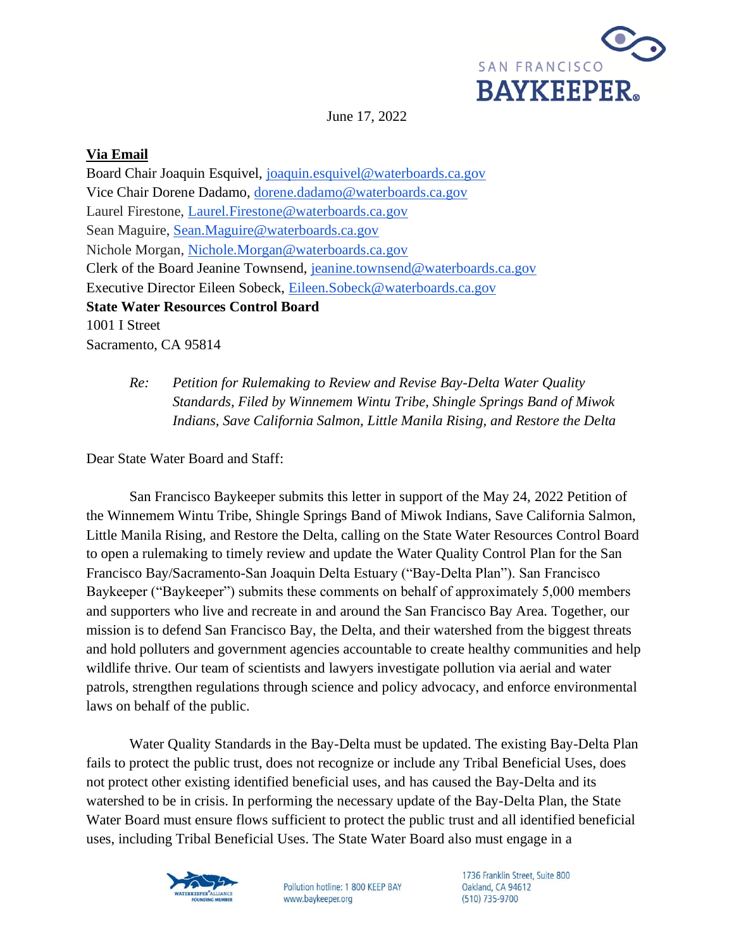

June 17, 2022

### **Via Email**

Board Chair Joaquin Esquivel, [joaquin.esquivel@waterboards.ca.gov](mailto:joaquin.esquivel@waterboards.ca.gov) Vice Chair Dorene Dadamo, [dorene.dadamo@waterboards.ca.gov](mailto:dorene.dadamo@waterboards.ca.gov) Laurel Firestone, [Laurel.Firestone@waterboards.ca.gov](mailto:Laurel.Firestone@waterboards.ca.gov) Sean Maguire, [Sean.Maguire@waterboards.ca.gov](mailto:Sean.Maguire@waterboards.ca.gov) Nichole Morgan, [Nichole.Morgan@waterboards.ca.gov](mailto:Nichole.Morgan@waterboards.ca.gov) Clerk of the Board Jeanine Townsend, [jeanine.townsend@waterboards.ca.gov](mailto:jeanine.townsend@waterboards.ca.gov) Executive Director Eileen Sobeck, [Eileen.Sobeck@waterboards.ca.gov](mailto:Eileen.Sobeck@waterboards.ca.gov) **State Water Resources Control Board** 1001 I Street Sacramento, CA 95814

*Re: Petition for Rulemaking to Review and Revise Bay-Delta Water Quality Standards, Filed by Winnemem Wintu Tribe, Shingle Springs Band of Miwok Indians, Save California Salmon, Little Manila Rising, and Restore the Delta* 

Dear State Water Board and Staff:

San Francisco Baykeeper submits this letter in support of the May 24, 2022 Petition of the Winnemem Wintu Tribe, Shingle Springs Band of Miwok Indians, Save California Salmon, Little Manila Rising, and Restore the Delta, calling on the State Water Resources Control Board to open a rulemaking to timely review and update the Water Quality Control Plan for the San Francisco Bay/Sacramento-San Joaquin Delta Estuary ("Bay-Delta Plan"). San Francisco Baykeeper ("Baykeeper") submits these comments on behalf of approximately 5,000 members and supporters who live and recreate in and around the San Francisco Bay Area. Together, our mission is to defend San Francisco Bay, the Delta, and their watershed from the biggest threats and hold polluters and government agencies accountable to create healthy communities and help wildlife thrive. Our team of scientists and lawyers investigate pollution via aerial and water patrols, strengthen regulations through science and policy advocacy, and enforce environmental laws on behalf of the public.

Water Quality Standards in the Bay-Delta must be updated. The existing Bay-Delta Plan fails to protect the public trust, does not recognize or include any Tribal Beneficial Uses, does not protect other existing identified beneficial uses, and has caused the Bay-Delta and its watershed to be in crisis. In performing the necessary update of the Bay-Delta Plan, the State Water Board must ensure flows sufficient to protect the public trust and all identified beneficial uses, including Tribal Beneficial Uses. The State Water Board also must engage in a



Pollution hotline: 1 800 KEEP BAY www.baykeeper.org

1736 Franklin Street, Suite 800 Oakland, CA 94612 (510) 735-9700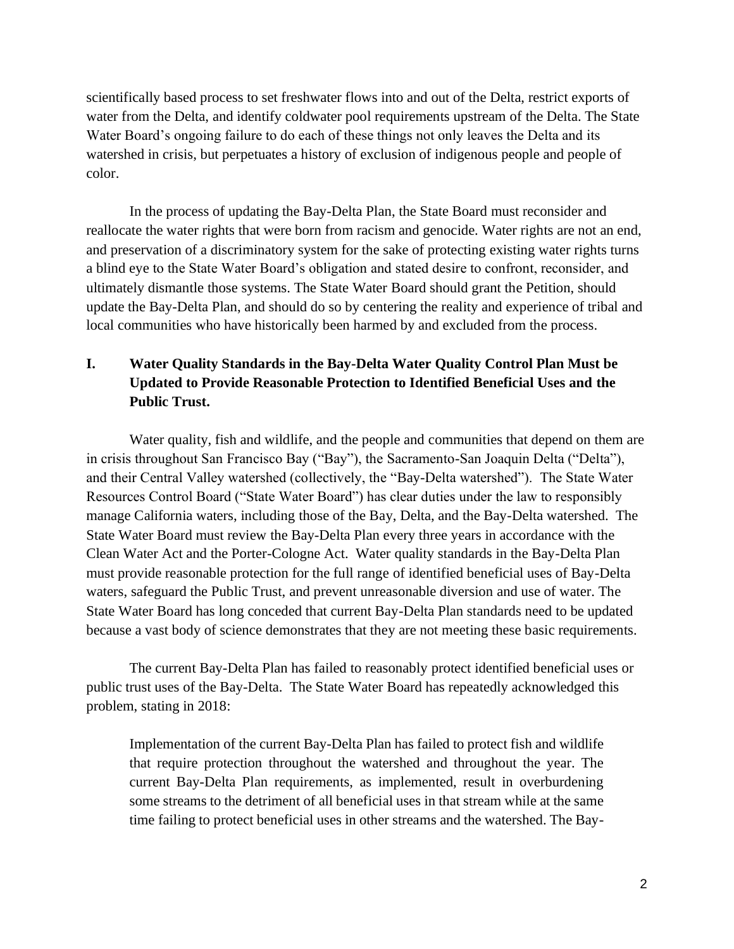scientifically based process to set freshwater flows into and out of the Delta, restrict exports of water from the Delta, and identify coldwater pool requirements upstream of the Delta. The State Water Board's ongoing failure to do each of these things not only leaves the Delta and its watershed in crisis, but perpetuates a history of exclusion of indigenous people and people of color.

In the process of updating the Bay-Delta Plan, the State Board must reconsider and reallocate the water rights that were born from racism and genocide. Water rights are not an end, and preservation of a discriminatory system for the sake of protecting existing water rights turns a blind eye to the State Water Board's obligation and stated desire to confront, reconsider, and ultimately dismantle those systems. The State Water Board should grant the Petition, should update the Bay-Delta Plan, and should do so by centering the reality and experience of tribal and local communities who have historically been harmed by and excluded from the process.

# **I. Water Quality Standards in the Bay-Delta Water Quality Control Plan Must be Updated to Provide Reasonable Protection to Identified Beneficial Uses and the Public Trust.**

Water quality, fish and wildlife, and the people and communities that depend on them are in crisis throughout San Francisco Bay ("Bay"), the Sacramento-San Joaquin Delta ("Delta"), and their Central Valley watershed (collectively, the "Bay-Delta watershed"). The State Water Resources Control Board ("State Water Board") has clear duties under the law to responsibly manage California waters, including those of the Bay, Delta, and the Bay-Delta watershed. The State Water Board must review the Bay-Delta Plan every three years in accordance with the Clean Water Act and the Porter-Cologne Act. Water quality standards in the Bay-Delta Plan must provide reasonable protection for the full range of identified beneficial uses of Bay-Delta waters, safeguard the Public Trust, and prevent unreasonable diversion and use of water. The State Water Board has long conceded that current Bay-Delta Plan standards need to be updated because a vast body of science demonstrates that they are not meeting these basic requirements.

The current Bay-Delta Plan has failed to reasonably protect identified beneficial uses or public trust uses of the Bay-Delta. The State Water Board has repeatedly acknowledged this problem, stating in 2018:

Implementation of the current Bay-Delta Plan has failed to protect fish and wildlife that require protection throughout the watershed and throughout the year. The current Bay-Delta Plan requirements, as implemented, result in overburdening some streams to the detriment of all beneficial uses in that stream while at the same time failing to protect beneficial uses in other streams and the watershed. The Bay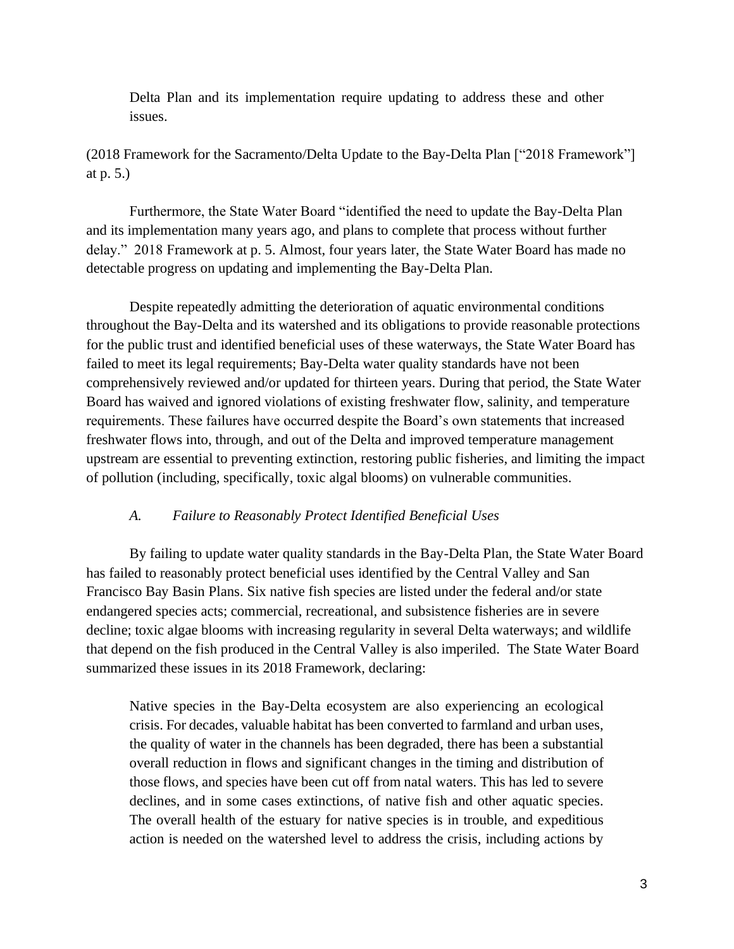Delta Plan and its implementation require updating to address these and other issues.

(2018 Framework for the Sacramento/Delta Update to the Bay-Delta Plan ["2018 Framework"] at p. 5.)

Furthermore, the State Water Board "identified the need to update the Bay-Delta Plan and its implementation many years ago, and plans to complete that process without further delay." 2018 Framework at p. 5. Almost, four years later, the State Water Board has made no detectable progress on updating and implementing the Bay-Delta Plan.

Despite repeatedly admitting the deterioration of aquatic environmental conditions throughout the Bay-Delta and its watershed and its obligations to provide reasonable protections for the public trust and identified beneficial uses of these waterways, the State Water Board has failed to meet its legal requirements; Bay-Delta water quality standards have not been comprehensively reviewed and/or updated for thirteen years. During that period, the State Water Board has waived and ignored violations of existing freshwater flow, salinity, and temperature requirements. These failures have occurred despite the Board's own statements that increased freshwater flows into, through, and out of the Delta and improved temperature management upstream are essential to preventing extinction, restoring public fisheries, and limiting the impact of pollution (including, specifically, toxic algal blooms) on vulnerable communities.

### *A. Failure to Reasonably Protect Identified Beneficial Uses*

By failing to update water quality standards in the Bay-Delta Plan, the State Water Board has failed to reasonably protect beneficial uses identified by the Central Valley and San Francisco Bay Basin Plans. Six native fish species are listed under the federal and/or state endangered species acts; commercial, recreational, and subsistence fisheries are in severe decline; toxic algae blooms with increasing regularity in several Delta waterways; and wildlife that depend on the fish produced in the Central Valley is also imperiled. The State Water Board summarized these issues in its 2018 Framework, declaring:

Native species in the Bay-Delta ecosystem are also experiencing an ecological crisis. For decades, valuable habitat has been converted to farmland and urban uses, the quality of water in the channels has been degraded, there has been a substantial overall reduction in flows and significant changes in the timing and distribution of those flows, and species have been cut off from natal waters. This has led to severe declines, and in some cases extinctions, of native fish and other aquatic species. The overall health of the estuary for native species is in trouble, and expeditious action is needed on the watershed level to address the crisis, including actions by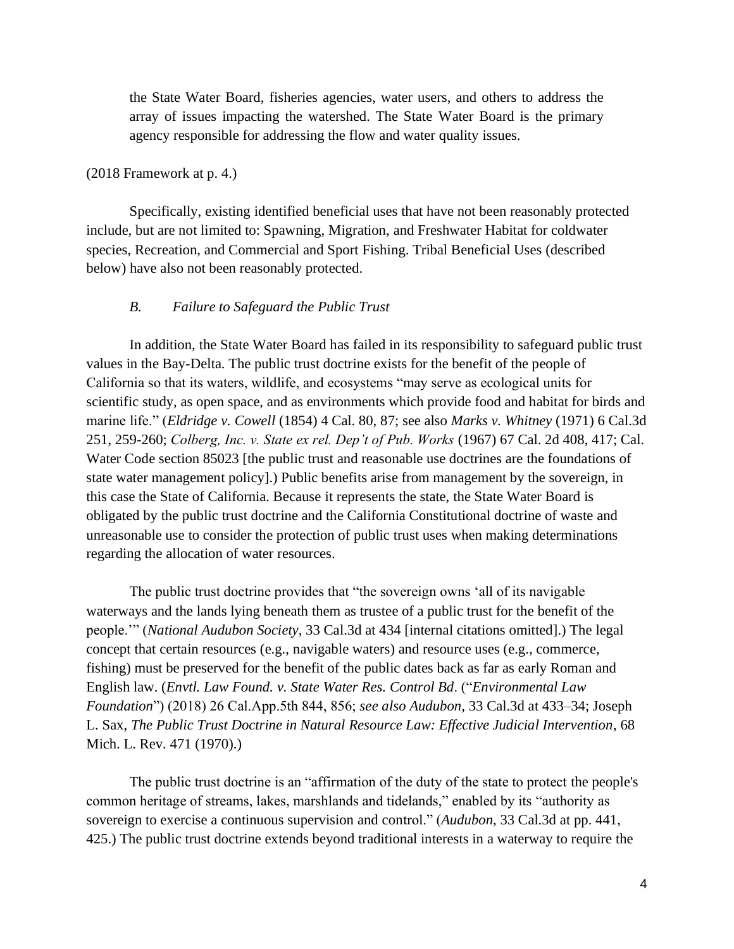the State Water Board, fisheries agencies, water users, and others to address the array of issues impacting the watershed. The State Water Board is the primary agency responsible for addressing the flow and water quality issues.

#### (2018 Framework at p. 4.)

Specifically, existing identified beneficial uses that have not been reasonably protected include, but are not limited to: Spawning, Migration, and Freshwater Habitat for coldwater species, Recreation, and Commercial and Sport Fishing. Tribal Beneficial Uses (described below) have also not been reasonably protected.

### *B. Failure to Safeguard the Public Trust*

In addition, the State Water Board has failed in its responsibility to safeguard public trust values in the Bay-Delta. The public trust doctrine exists for the benefit of the people of California so that its waters, wildlife, and ecosystems "may serve as ecological units for scientific study, as open space, and as environments which provide food and habitat for birds and marine life." (*Eldridge v. Cowell* (1854) 4 Cal. 80, 87; see also *Marks v. Whitney* (1971) 6 Cal.3d 251, 259-260; *Colberg, Inc. v. State ex rel. Dep't of Pub. Works* (1967) 67 Cal. 2d 408, 417; Cal. Water Code section 85023 [the public trust and reasonable use doctrines are the foundations of state water management policy].) Public benefits arise from management by the sovereign, in this case the State of California. Because it represents the state, the State Water Board is obligated by the public trust doctrine and the California Constitutional doctrine of waste and unreasonable use to consider the protection of public trust uses when making determinations regarding the allocation of water resources.

The public trust doctrine provides that "the sovereign owns 'all of its navigable waterways and the lands lying beneath them as trustee of a public trust for the benefit of the people.'" (*National Audubon Society*, 33 Cal.3d at 434 [internal citations omitted].) The legal concept that certain resources (e.g., navigable waters) and resource uses (e.g., commerce, fishing) must be preserved for the benefit of the public dates back as far as early Roman and English law. (*Envtl. Law Found. v. State Water Res. Control Bd*. ("*Environmental Law Foundation*") (2018) 26 Cal.App.5th 844, 856; *see also Audubon,* 33 Cal.3d at 433–34; Joseph L. Sax, *The Public Trust Doctrine in Natural Resource Law: Effective Judicial Intervention*, 68 Mich. L. Rev. 471 (1970).)

The public trust doctrine is an "affirmation of the duty of the state to protect the people's common heritage of streams, lakes, marshlands and tidelands," enabled by its "authority as sovereign to exercise a continuous supervision and control." (*Audubon*, 33 Cal.3d at pp. 441, 425.) The public trust doctrine extends beyond traditional interests in a waterway to require the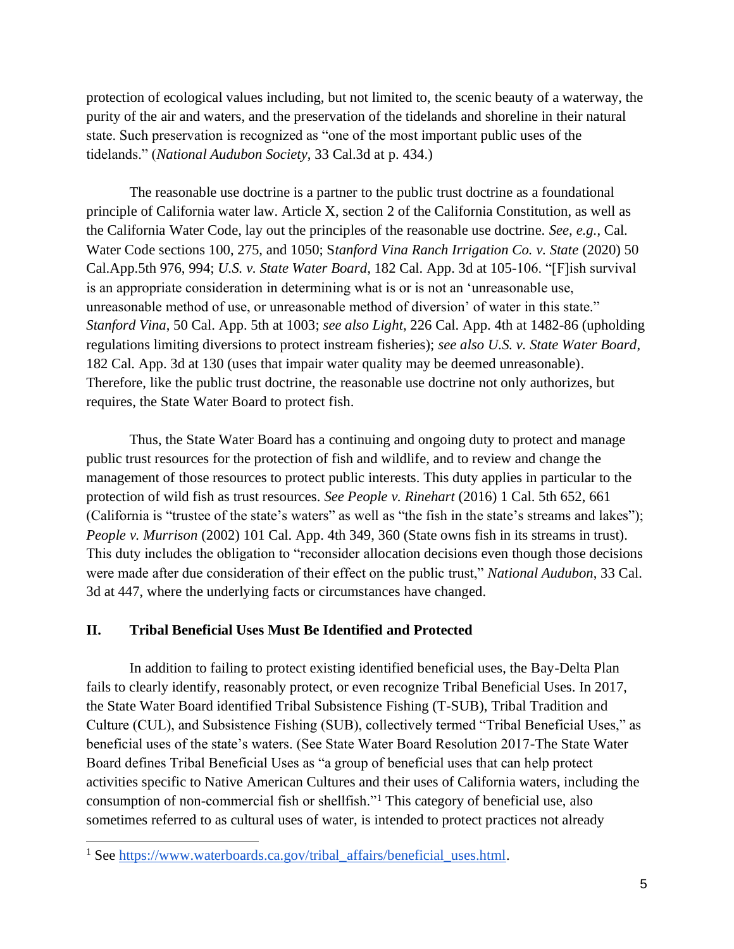protection of ecological values including, but not limited to, the scenic beauty of a waterway, the purity of the air and waters, and the preservation of the tidelands and shoreline in their natural state. Such preservation is recognized as "one of the most important public uses of the tidelands." (*National Audubon Society*, 33 Cal.3d at p. 434.)

The reasonable use doctrine is a partner to the public trust doctrine as a foundational principle of California water law. Article X, section 2 of the California Constitution, as well as the California Water Code, lay out the principles of the reasonable use doctrine. *See, e.g.*, Cal. Water Code sections 100, 275, and 1050; S*tanford Vina Ranch Irrigation Co. v. State* (2020) 50 Cal.App.5th 976, 994; *U.S. v. State Water Board*, 182 Cal. App. 3d at 105-106. "[F]ish survival is an appropriate consideration in determining what is or is not an 'unreasonable use, unreasonable method of use, or unreasonable method of diversion' of water in this state." *Stanford Vina*, 50 Cal. App. 5th at 1003; *see also Light*, 226 Cal. App. 4th at 1482-86 (upholding regulations limiting diversions to protect instream fisheries); *see also U.S. v. State Water Board*, 182 Cal. App. 3d at 130 (uses that impair water quality may be deemed unreasonable). Therefore, like the public trust doctrine, the reasonable use doctrine not only authorizes, but requires, the State Water Board to protect fish.

Thus, the State Water Board has a continuing and ongoing duty to protect and manage public trust resources for the protection of fish and wildlife, and to review and change the management of those resources to protect public interests. This duty applies in particular to the protection of wild fish as trust resources. *See People v. Rinehart* (2016) 1 Cal. 5th 652, 661 (California is "trustee of the state's waters" as well as "the fish in the state's streams and lakes"); *People v. Murrison* (2002) 101 Cal. App. 4th 349, 360 (State owns fish in its streams in trust). This duty includes the obligation to "reconsider allocation decisions even though those decisions were made after due consideration of their effect on the public trust," *National Audubon*, 33 Cal. 3d at 447, where the underlying facts or circumstances have changed.

### **II. Tribal Beneficial Uses Must Be Identified and Protected**

In addition to failing to protect existing identified beneficial uses, the Bay-Delta Plan fails to clearly identify, reasonably protect, or even recognize Tribal Beneficial Uses. In 2017, the State Water Board identified Tribal Subsistence Fishing (T-SUB), Tribal Tradition and Culture (CUL), and Subsistence Fishing (SUB), collectively termed "Tribal Beneficial Uses," as beneficial uses of the state's waters. (See State Water Board Resolution 2017-The State Water Board defines Tribal Beneficial Uses as "a group of beneficial uses that can help protect activities specific to Native American Cultures and their uses of California waters, including the consumption of non-commercial fish or shellfish."<sup>1</sup> This category of beneficial use, also sometimes referred to as cultural uses of water, is intended to protect practices not already

<sup>&</sup>lt;sup>1</sup> See [https://www.waterboards.ca.gov/tribal\\_affairs/beneficial\\_uses.html.](https://www.waterboards.ca.gov/tribal_affairs/beneficial_uses.html)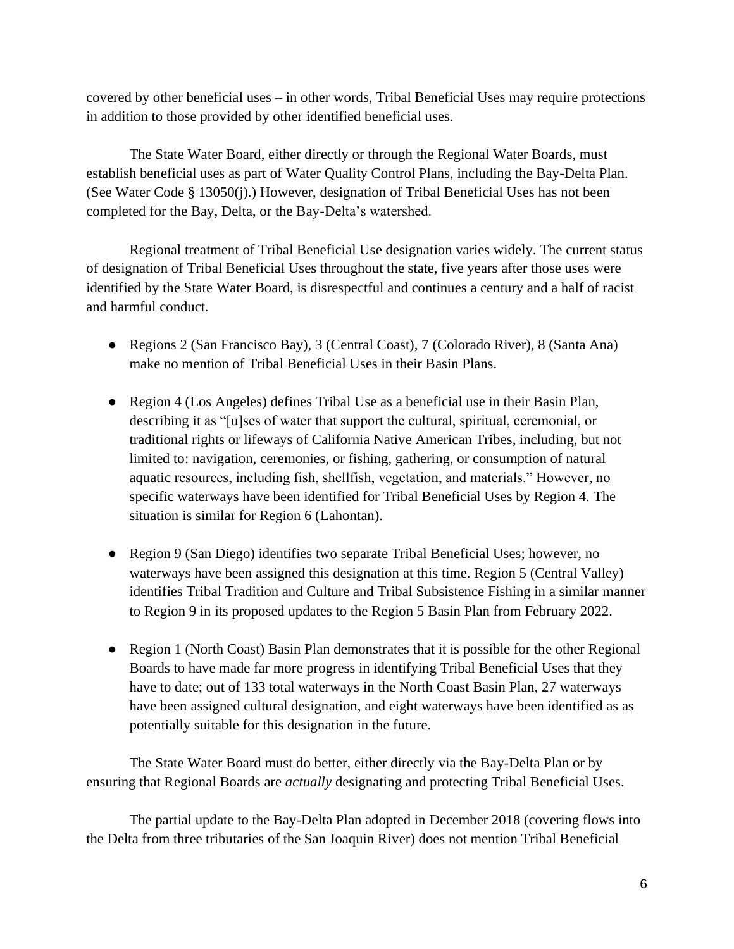covered by other beneficial uses – in other words, Tribal Beneficial Uses may require protections in addition to those provided by other identified beneficial uses.

The State Water Board, either directly or through the Regional Water Boards, must establish beneficial uses as part of Water Quality Control Plans, including the Bay-Delta Plan. (See Water Code § 13050(j).) However, designation of Tribal Beneficial Uses has not been completed for the Bay, Delta, or the Bay-Delta's watershed.

Regional treatment of Tribal Beneficial Use designation varies widely. The current status of designation of Tribal Beneficial Uses throughout the state, five years after those uses were identified by the State Water Board, is disrespectful and continues a century and a half of racist and harmful conduct.

- Regions 2 (San Francisco Bay), 3 (Central Coast), 7 (Colorado River), 8 (Santa Ana) make no mention of Tribal Beneficial Uses in their Basin Plans.
- Region 4 (Los Angeles) defines Tribal Use as a beneficial use in their Basin Plan, describing it as "[u]ses of water that support the cultural, spiritual, ceremonial, or traditional rights or lifeways of California Native American Tribes, including, but not limited to: navigation, ceremonies, or fishing, gathering, or consumption of natural aquatic resources, including fish, shellfish, vegetation, and materials." However, no specific waterways have been identified for Tribal Beneficial Uses by Region 4. The situation is similar for Region 6 (Lahontan).
- Region 9 (San Diego) identifies two separate Tribal Beneficial Uses; however, no waterways have been assigned this designation at this time. Region 5 (Central Valley) identifies Tribal Tradition and Culture and Tribal Subsistence Fishing in a similar manner to Region 9 in its proposed updates to the Region 5 Basin Plan from February 2022.
- Region 1 (North Coast) Basin Plan demonstrates that it is possible for the other Regional Boards to have made far more progress in identifying Tribal Beneficial Uses that they have to date; out of 133 total waterways in the North Coast Basin Plan, 27 waterways have been assigned cultural designation, and eight waterways have been identified as as potentially suitable for this designation in the future.

The State Water Board must do better, either directly via the Bay-Delta Plan or by ensuring that Regional Boards are *actually* designating and protecting Tribal Beneficial Uses.

The partial update to the Bay-Delta Plan adopted in December 2018 (covering flows into the Delta from three tributaries of the San Joaquin River) does not mention Tribal Beneficial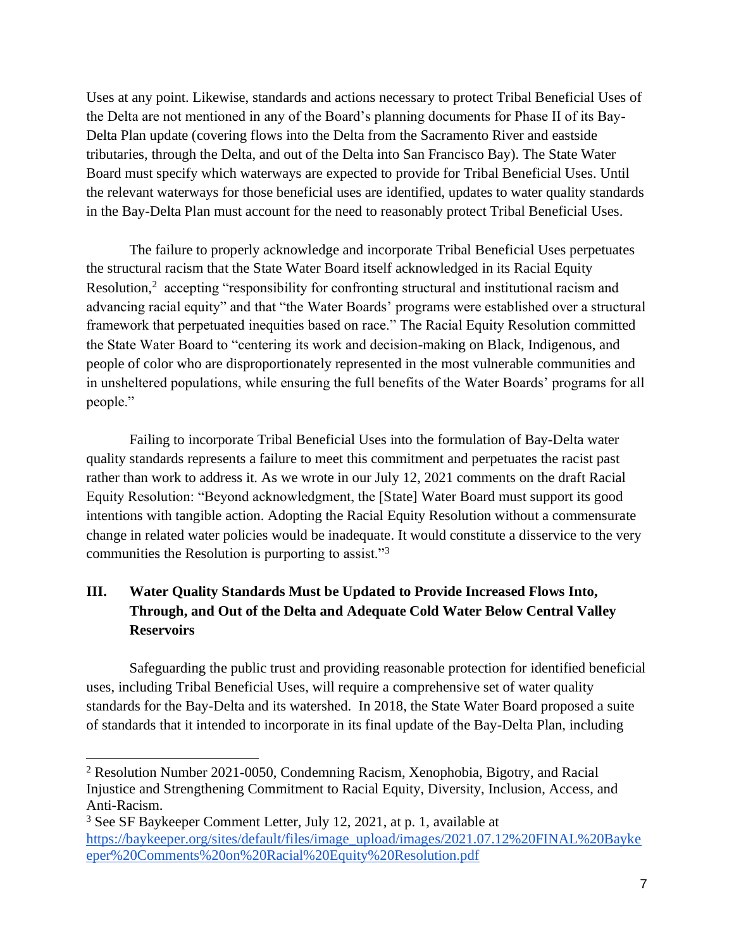Uses at any point. Likewise, standards and actions necessary to protect Tribal Beneficial Uses of the Delta are not mentioned in any of the Board's planning documents for Phase II of its Bay-Delta Plan update (covering flows into the Delta from the Sacramento River and eastside tributaries, through the Delta, and out of the Delta into San Francisco Bay). The State Water Board must specify which waterways are expected to provide for Tribal Beneficial Uses. Until the relevant waterways for those beneficial uses are identified, updates to water quality standards in the Bay-Delta Plan must account for the need to reasonably protect Tribal Beneficial Uses.

The failure to properly acknowledge and incorporate Tribal Beneficial Uses perpetuates the structural racism that the State Water Board itself acknowledged in its Racial Equity Resolution,<sup>2</sup> accepting "responsibility for confronting structural and institutional racism and advancing racial equity" and that "the Water Boards' programs were established over a structural framework that perpetuated inequities based on race." The Racial Equity Resolution committed the State Water Board to "centering its work and decision-making on Black, Indigenous, and people of color who are disproportionately represented in the most vulnerable communities and in unsheltered populations, while ensuring the full benefits of the Water Boards' programs for all people."

Failing to incorporate Tribal Beneficial Uses into the formulation of Bay-Delta water quality standards represents a failure to meet this commitment and perpetuates the racist past rather than work to address it. As we wrote in our July 12, 2021 comments on the draft Racial Equity Resolution: "Beyond acknowledgment, the [State] Water Board must support its good intentions with tangible action. Adopting the Racial Equity Resolution without a commensurate change in related water policies would be inadequate. It would constitute a disservice to the very communities the Resolution is purporting to assist."<sup>3</sup>

# **III. Water Quality Standards Must be Updated to Provide Increased Flows Into, Through, and Out of the Delta and Adequate Cold Water Below Central Valley Reservoirs**

Safeguarding the public trust and providing reasonable protection for identified beneficial uses, including Tribal Beneficial Uses, will require a comprehensive set of water quality standards for the Bay-Delta and its watershed. In 2018, the State Water Board proposed a suite of standards that it intended to incorporate in its final update of the Bay-Delta Plan, including

<sup>2</sup> Resolution Number 2021-0050, Condemning Racism, Xenophobia, Bigotry, and Racial Injustice and Strengthening Commitment to Racial Equity, Diversity, Inclusion, Access, and Anti-Racism.

<sup>3</sup> See SF Baykeeper Comment Letter, July 12, 2021, at p. 1, available at [https://baykeeper.org/sites/default/files/image\\_upload/images/2021.07.12%20FINAL%20Bayke](https://baykeeper.org/sites/default/files/image_upload/images/2021.07.12%20FINAL%20Baykeeper%20Comments%20on%20Racial%20Equity%20Resolution.pdf) [eper%20Comments%20on%20Racial%20Equity%20Resolution.pdf](https://baykeeper.org/sites/default/files/image_upload/images/2021.07.12%20FINAL%20Baykeeper%20Comments%20on%20Racial%20Equity%20Resolution.pdf)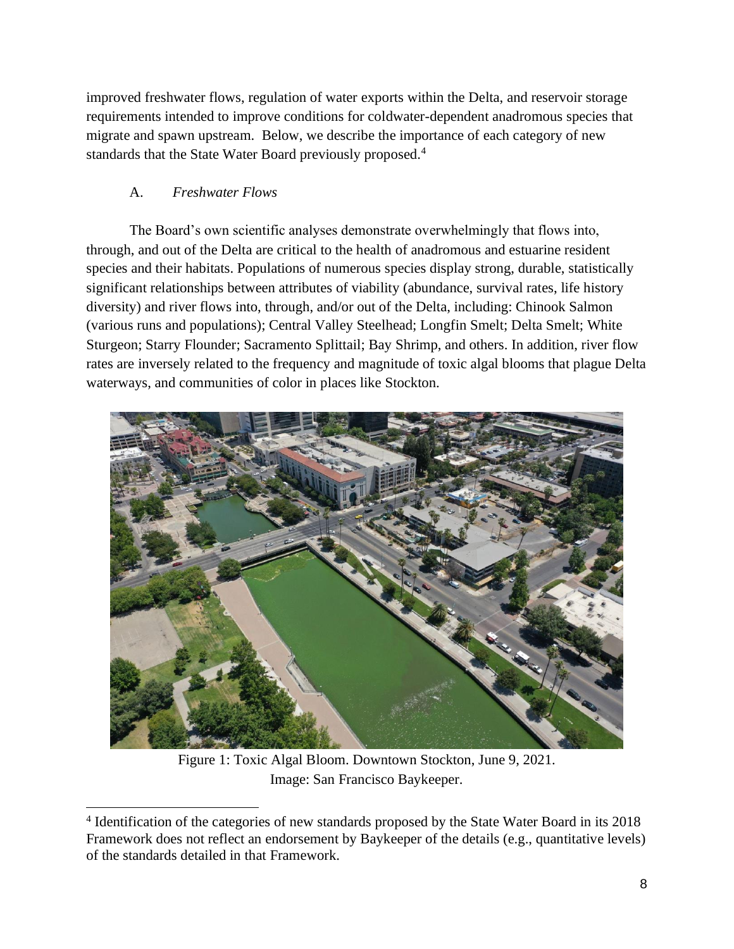improved freshwater flows, regulation of water exports within the Delta, and reservoir storage requirements intended to improve conditions for coldwater-dependent anadromous species that migrate and spawn upstream. Below, we describe the importance of each category of new standards that the State Water Board previously proposed.<sup>4</sup>

## A. *Freshwater Flows*

The Board's own scientific analyses demonstrate overwhelmingly that flows into, through, and out of the Delta are critical to the health of anadromous and estuarine resident species and their habitats. Populations of numerous species display strong, durable, statistically significant relationships between attributes of viability (abundance, survival rates, life history diversity) and river flows into, through, and/or out of the Delta, including: Chinook Salmon (various runs and populations); Central Valley Steelhead; Longfin Smelt; Delta Smelt; White Sturgeon; Starry Flounder; Sacramento Splittail; Bay Shrimp, and others. In addition, river flow rates are inversely related to the frequency and magnitude of toxic algal blooms that plague Delta waterways, and communities of color in places like Stockton.



Figure 1: Toxic Algal Bloom. Downtown Stockton, June 9, 2021. Image: San Francisco Baykeeper.

<sup>&</sup>lt;sup>4</sup> Identification of the categories of new standards proposed by the State Water Board in its 2018 Framework does not reflect an endorsement by Baykeeper of the details (e.g., quantitative levels) of the standards detailed in that Framework.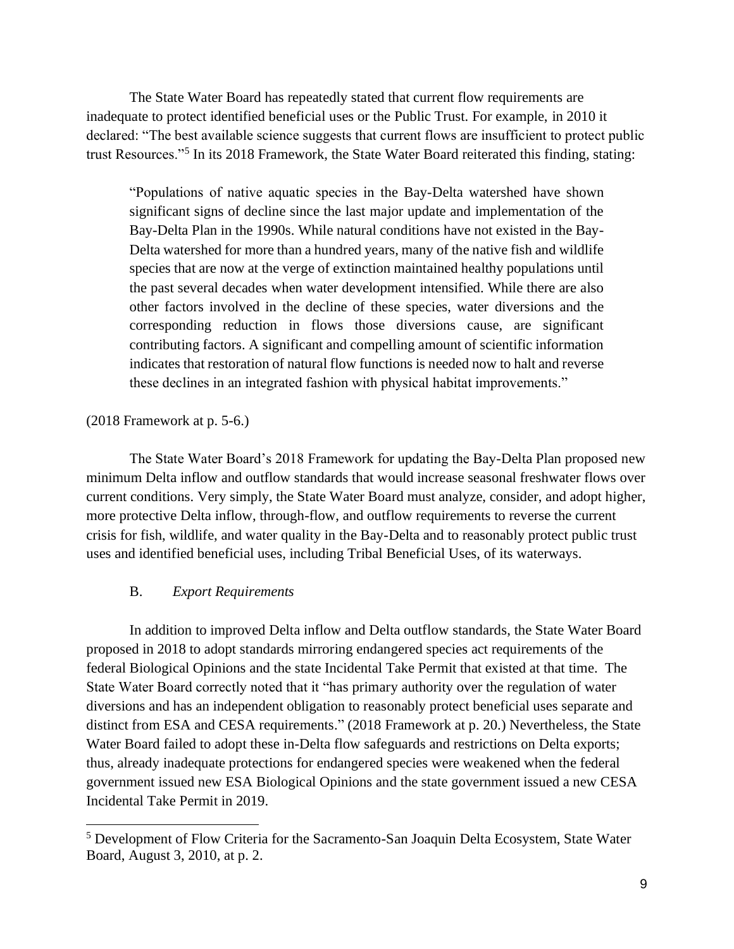The State Water Board has repeatedly stated that current flow requirements are inadequate to protect identified beneficial uses or the Public Trust. For example, in 2010 it declared: "The best available science suggests that current flows are insufficient to protect public trust Resources."<sup>5</sup> In its 2018 Framework, the State Water Board reiterated this finding, stating:

"Populations of native aquatic species in the Bay-Delta watershed have shown significant signs of decline since the last major update and implementation of the Bay-Delta Plan in the 1990s. While natural conditions have not existed in the Bay-Delta watershed for more than a hundred years, many of the native fish and wildlife species that are now at the verge of extinction maintained healthy populations until the past several decades when water development intensified. While there are also other factors involved in the decline of these species, water diversions and the corresponding reduction in flows those diversions cause, are significant contributing factors. A significant and compelling amount of scientific information indicates that restoration of natural flow functions is needed now to halt and reverse these declines in an integrated fashion with physical habitat improvements."

### (2018 Framework at p. 5-6.)

The State Water Board's 2018 Framework for updating the Bay-Delta Plan proposed new minimum Delta inflow and outflow standards that would increase seasonal freshwater flows over current conditions. Very simply, the State Water Board must analyze, consider, and adopt higher, more protective Delta inflow, through-flow, and outflow requirements to reverse the current crisis for fish, wildlife, and water quality in the Bay-Delta and to reasonably protect public trust uses and identified beneficial uses, including Tribal Beneficial Uses, of its waterways.

### B. *Export Requirements*

In addition to improved Delta inflow and Delta outflow standards, the State Water Board proposed in 2018 to adopt standards mirroring endangered species act requirements of the federal Biological Opinions and the state Incidental Take Permit that existed at that time. The State Water Board correctly noted that it "has primary authority over the regulation of water diversions and has an independent obligation to reasonably protect beneficial uses separate and distinct from ESA and CESA requirements." (2018 Framework at p. 20.) Nevertheless, the State Water Board failed to adopt these in-Delta flow safeguards and restrictions on Delta exports; thus, already inadequate protections for endangered species were weakened when the federal government issued new ESA Biological Opinions and the state government issued a new CESA Incidental Take Permit in 2019.

<sup>5</sup> Development of Flow Criteria for the Sacramento-San Joaquin Delta Ecosystem, State Water Board, August 3, 2010, at p. 2.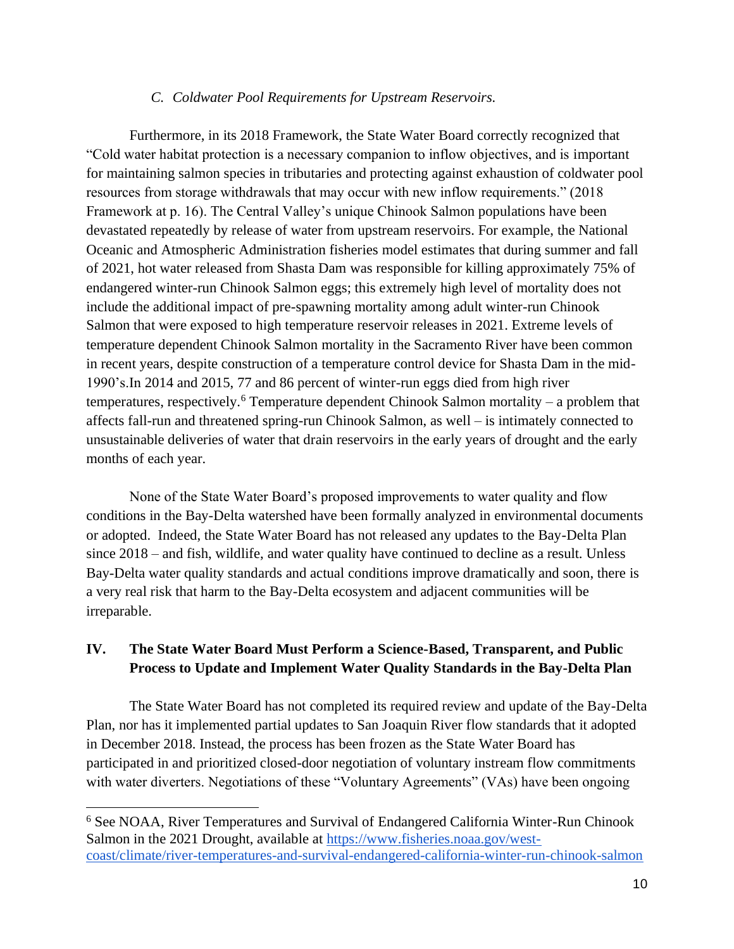### *C. Coldwater Pool Requirements for Upstream Reservoirs.*

Furthermore, in its 2018 Framework, the State Water Board correctly recognized that "Cold water habitat protection is a necessary companion to inflow objectives, and is important for maintaining salmon species in tributaries and protecting against exhaustion of coldwater pool resources from storage withdrawals that may occur with new inflow requirements." (2018 Framework at p. 16). The Central Valley's unique Chinook Salmon populations have been devastated repeatedly by release of water from upstream reservoirs. For example, the National Oceanic and Atmospheric Administration fisheries model estimates that during summer and fall of 2021, hot water released from Shasta Dam was responsible for killing approximately 75% of endangered winter-run Chinook Salmon eggs; this extremely high level of mortality does not include the additional impact of pre-spawning mortality among adult winter-run Chinook Salmon that were exposed to high temperature reservoir releases in 2021. Extreme levels of temperature dependent Chinook Salmon mortality in the Sacramento River have been common in recent years, despite construction of a temperature control device for Shasta Dam in the mid-1990's.In 2014 and 2015, 77 and 86 percent of winter-run eggs died from high river temperatures, respectively.<sup>6</sup> Temperature dependent Chinook Salmon mortality – a problem that affects fall-run and threatened spring-run Chinook Salmon, as well – is intimately connected to unsustainable deliveries of water that drain reservoirs in the early years of drought and the early months of each year.

None of the State Water Board's proposed improvements to water quality and flow conditions in the Bay-Delta watershed have been formally analyzed in environmental documents or adopted. Indeed, the State Water Board has not released any updates to the Bay-Delta Plan since 2018 – and fish, wildlife, and water quality have continued to decline as a result. Unless Bay-Delta water quality standards and actual conditions improve dramatically and soon, there is a very real risk that harm to the Bay-Delta ecosystem and adjacent communities will be irreparable.

### **IV. The State Water Board Must Perform a Science-Based, Transparent, and Public Process to Update and Implement Water Quality Standards in the Bay-Delta Plan**

The State Water Board has not completed its required review and update of the Bay-Delta Plan, nor has it implemented partial updates to San Joaquin River flow standards that it adopted in December 2018. Instead, the process has been frozen as the State Water Board has participated in and prioritized closed-door negotiation of voluntary instream flow commitments with water diverters. Negotiations of these "Voluntary Agreements" (VAs) have been ongoing

<sup>6</sup> See NOAA, River Temperatures and Survival of Endangered California Winter-Run Chinook Salmon in the 2021 Drought, available at [https://www.fisheries.noaa.gov/west](https://www.fisheries.noaa.gov/west-coast/climate/river-temperatures-and-survival-endangered-california-winter-run-chinook-salmon)[coast/climate/river-temperatures-and-survival-endangered-california-winter-run-chinook-salmon](https://www.fisheries.noaa.gov/west-coast/climate/river-temperatures-and-survival-endangered-california-winter-run-chinook-salmon)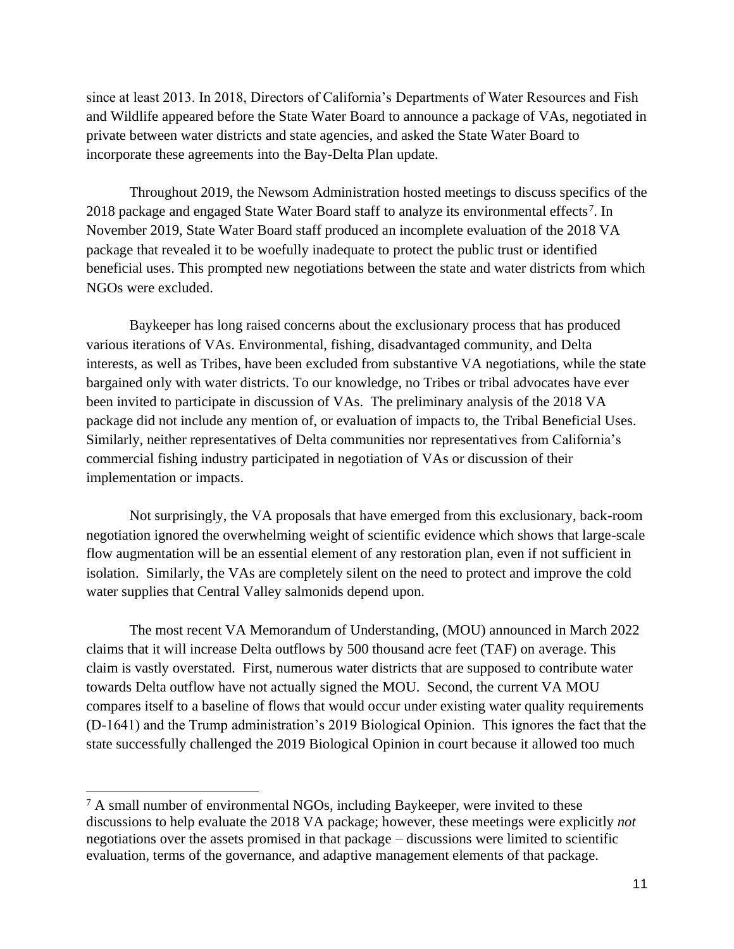since at least 2013. In 2018, Directors of California's Departments of Water Resources and Fish and Wildlife appeared before the State Water Board to announce a package of VAs, negotiated in private between water districts and state agencies, and asked the State Water Board to incorporate these agreements into the Bay-Delta Plan update.

Throughout 2019, the Newsom Administration hosted meetings to discuss specifics of the 2018 package and engaged State Water Board staff to analyze its environmental effects<sup>7</sup>. In November 2019, State Water Board staff produced an incomplete evaluation of the 2018 VA package that revealed it to be woefully inadequate to protect the public trust or identified beneficial uses. This prompted new negotiations between the state and water districts from which NGOs were excluded.

Baykeeper has long raised concerns about the exclusionary process that has produced various iterations of VAs. Environmental, fishing, disadvantaged community, and Delta interests, as well as Tribes, have been excluded from substantive VA negotiations, while the state bargained only with water districts. To our knowledge, no Tribes or tribal advocates have ever been invited to participate in discussion of VAs. The preliminary analysis of the 2018 VA package did not include any mention of, or evaluation of impacts to, the Tribal Beneficial Uses. Similarly, neither representatives of Delta communities nor representatives from California's commercial fishing industry participated in negotiation of VAs or discussion of their implementation or impacts.

Not surprisingly, the VA proposals that have emerged from this exclusionary, back-room negotiation ignored the overwhelming weight of scientific evidence which shows that large-scale flow augmentation will be an essential element of any restoration plan, even if not sufficient in isolation. Similarly, the VAs are completely silent on the need to protect and improve the cold water supplies that Central Valley salmonids depend upon.

The most recent VA Memorandum of Understanding, (MOU) announced in March 2022 claims that it will increase Delta outflows by 500 thousand acre feet (TAF) on average. This claim is vastly overstated. First, numerous water districts that are supposed to contribute water towards Delta outflow have not actually signed the MOU. Second, the current VA MOU compares itself to a baseline of flows that would occur under existing water quality requirements (D-1641) and the Trump administration's 2019 Biological Opinion. This ignores the fact that the state successfully challenged the 2019 Biological Opinion in court because it allowed too much

<sup>7</sup> A small number of environmental NGOs, including Baykeeper, were invited to these discussions to help evaluate the 2018 VA package; however, these meetings were explicitly *not* negotiations over the assets promised in that package – discussions were limited to scientific evaluation, terms of the governance, and adaptive management elements of that package.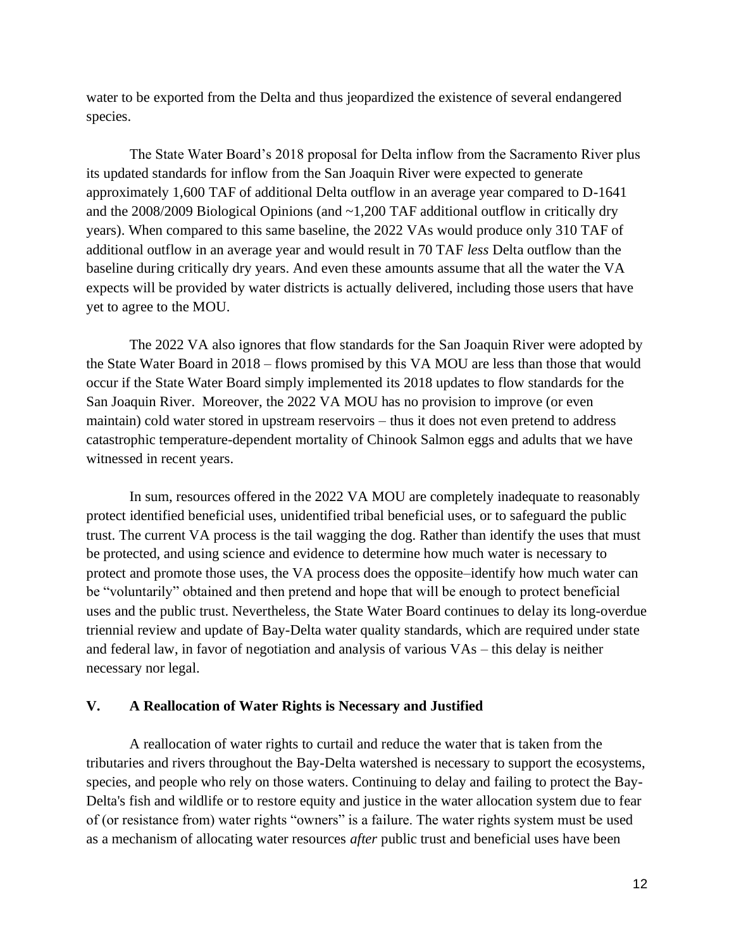water to be exported from the Delta and thus jeopardized the existence of several endangered species.

The State Water Board's 2018 proposal for Delta inflow from the Sacramento River plus its updated standards for inflow from the San Joaquin River were expected to generate approximately 1,600 TAF of additional Delta outflow in an average year compared to D-1641 and the 2008/2009 Biological Opinions (and ~1,200 TAF additional outflow in critically dry years). When compared to this same baseline, the 2022 VAs would produce only 310 TAF of additional outflow in an average year and would result in 70 TAF *less* Delta outflow than the baseline during critically dry years. And even these amounts assume that all the water the VA expects will be provided by water districts is actually delivered, including those users that have yet to agree to the MOU.

The 2022 VA also ignores that flow standards for the San Joaquin River were adopted by the State Water Board in 2018 – flows promised by this VA MOU are less than those that would occur if the State Water Board simply implemented its 2018 updates to flow standards for the San Joaquin River. Moreover, the 2022 VA MOU has no provision to improve (or even maintain) cold water stored in upstream reservoirs – thus it does not even pretend to address catastrophic temperature-dependent mortality of Chinook Salmon eggs and adults that we have witnessed in recent years.

In sum, resources offered in the 2022 VA MOU are completely inadequate to reasonably protect identified beneficial uses, unidentified tribal beneficial uses, or to safeguard the public trust. The current VA process is the tail wagging the dog. Rather than identify the uses that must be protected, and using science and evidence to determine how much water is necessary to protect and promote those uses, the VA process does the opposite–identify how much water can be "voluntarily" obtained and then pretend and hope that will be enough to protect beneficial uses and the public trust. Nevertheless, the State Water Board continues to delay its long-overdue triennial review and update of Bay-Delta water quality standards, which are required under state and federal law, in favor of negotiation and analysis of various VAs – this delay is neither necessary nor legal.

### **V. A Reallocation of Water Rights is Necessary and Justified**

A reallocation of water rights to curtail and reduce the water that is taken from the tributaries and rivers throughout the Bay-Delta watershed is necessary to support the ecosystems, species, and people who rely on those waters. Continuing to delay and failing to protect the Bay-Delta's fish and wildlife or to restore equity and justice in the water allocation system due to fear of (or resistance from) water rights "owners" is a failure. The water rights system must be used as a mechanism of allocating water resources *after* public trust and beneficial uses have been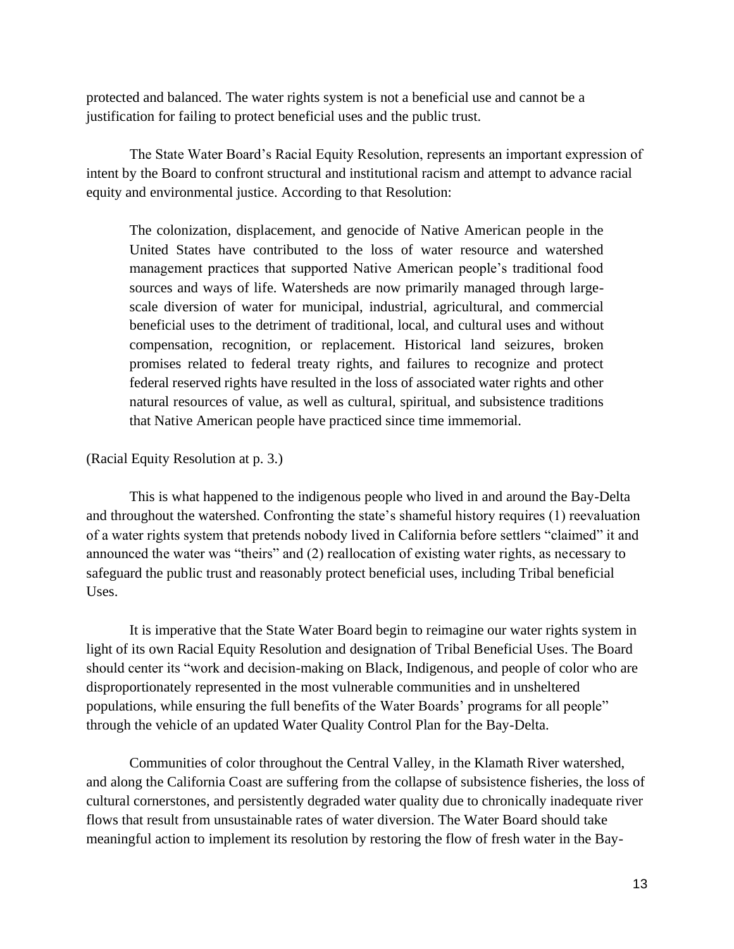protected and balanced. The water rights system is not a beneficial use and cannot be a justification for failing to protect beneficial uses and the public trust.

The State Water Board's Racial Equity Resolution, represents an important expression of intent by the Board to confront structural and institutional racism and attempt to advance racial equity and environmental justice. According to that Resolution:

The colonization, displacement, and genocide of Native American people in the United States have contributed to the loss of water resource and watershed management practices that supported Native American people's traditional food sources and ways of life. Watersheds are now primarily managed through largescale diversion of water for municipal, industrial, agricultural, and commercial beneficial uses to the detriment of traditional, local, and cultural uses and without compensation, recognition, or replacement. Historical land seizures, broken promises related to federal treaty rights, and failures to recognize and protect federal reserved rights have resulted in the loss of associated water rights and other natural resources of value, as well as cultural, spiritual, and subsistence traditions that Native American people have practiced since time immemorial.

### (Racial Equity Resolution at p. 3.)

This is what happened to the indigenous people who lived in and around the Bay-Delta and throughout the watershed. Confronting the state's shameful history requires (1) reevaluation of a water rights system that pretends nobody lived in California before settlers "claimed" it and announced the water was "theirs" and (2) reallocation of existing water rights, as necessary to safeguard the public trust and reasonably protect beneficial uses, including Tribal beneficial Uses.

It is imperative that the State Water Board begin to reimagine our water rights system in light of its own Racial Equity Resolution and designation of Tribal Beneficial Uses. The Board should center its "work and decision-making on Black, Indigenous, and people of color who are disproportionately represented in the most vulnerable communities and in unsheltered populations, while ensuring the full benefits of the Water Boards' programs for all people" through the vehicle of an updated Water Quality Control Plan for the Bay-Delta.

Communities of color throughout the Central Valley, in the Klamath River watershed, and along the California Coast are suffering from the collapse of subsistence fisheries, the loss of cultural cornerstones, and persistently degraded water quality due to chronically inadequate river flows that result from unsustainable rates of water diversion. The Water Board should take meaningful action to implement its resolution by restoring the flow of fresh water in the Bay